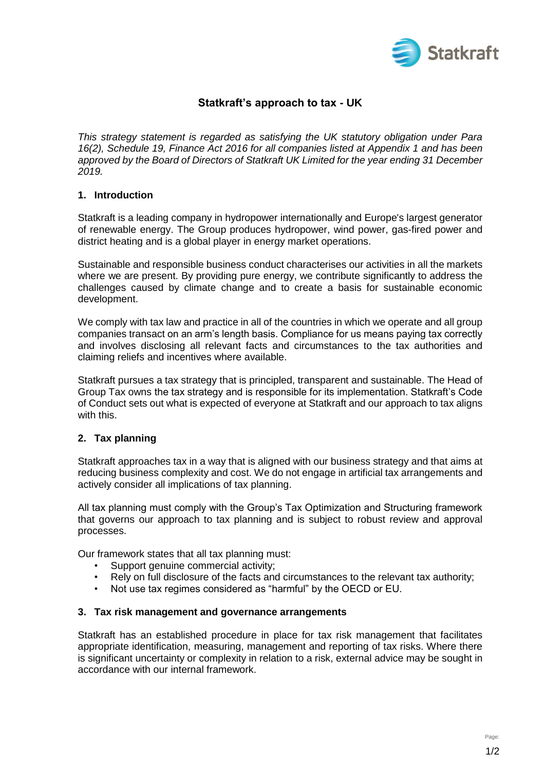

# **Statkraft's approach to tax - UK**

*This strategy statement is regarded as satisfying the UK statutory obligation under Para 16(2), Schedule 19, Finance Act 2016 for all companies listed at Appendix 1 and has been approved by the Board of Directors of Statkraft UK Limited for the year ending 31 December 2019.*

## **1. Introduction**

Statkraft is a leading company in hydropower internationally and Europe's largest generator of renewable energy. The Group produces hydropower, wind power, gas-fired power and district heating and is a global player in energy market operations.

Sustainable and responsible business conduct characterises our activities in all the markets where we are present. By providing pure energy, we contribute significantly to address the challenges caused by climate change and to create a basis for sustainable economic development.

We comply with tax law and practice in all of the countries in which we operate and all group companies transact on an arm's length basis. Compliance for us means paying tax correctly and involves disclosing all relevant facts and circumstances to the tax authorities and claiming reliefs and incentives where available.

Statkraft pursues a tax strategy that is principled, transparent and sustainable. The Head of Group Tax owns the tax strategy and is responsible for its implementation. Statkraft's Code of Conduct sets out what is expected of everyone at Statkraft and our approach to tax aligns with this.

## **2. Tax planning**

Statkraft approaches tax in a way that is aligned with our business strategy and that aims at reducing business complexity and cost. We do not engage in artificial tax arrangements and actively consider all implications of tax planning.

All tax planning must comply with the Group's Tax Optimization and Structuring framework that governs our approach to tax planning and is subject to robust review and approval processes.

Our framework states that all tax planning must:

- Support genuine commercial activity;
- Rely on full disclosure of the facts and circumstances to the relevant tax authority;
- Not use tax regimes considered as "harmful" by the OECD or EU.

### **3. Tax risk management and governance arrangements**

Statkraft has an established procedure in place for tax risk management that facilitates appropriate identification, measuring, management and reporting of tax risks. Where there is significant uncertainty or complexity in relation to a risk, external advice may be sought in accordance with our internal framework.